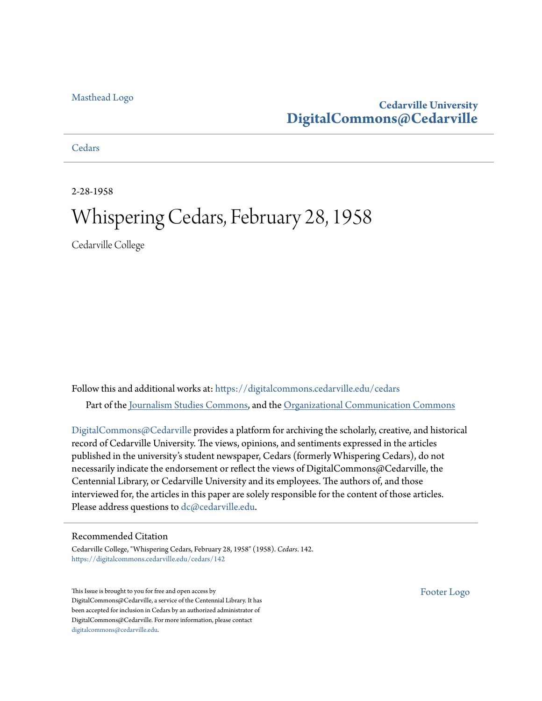## [Masthead Logo](http://www.cedarville.edu/?utm_source=digitalcommons.cedarville.edu%2Fcedars%2F142&utm_medium=PDF&utm_campaign=PDFCoverPages)

## **Cedarville University [DigitalCommons@Cedarville](https://digitalcommons.cedarville.edu?utm_source=digitalcommons.cedarville.edu%2Fcedars%2F142&utm_medium=PDF&utm_campaign=PDFCoverPages)**

## **[Cedars](https://digitalcommons.cedarville.edu/cedars?utm_source=digitalcommons.cedarville.edu%2Fcedars%2F142&utm_medium=PDF&utm_campaign=PDFCoverPages)**

2-28-1958

# Whispering Cedars, February 28, 1958

Cedarville College

Follow this and additional works at: [https://digitalcommons.cedarville.edu/cedars](https://digitalcommons.cedarville.edu/cedars?utm_source=digitalcommons.cedarville.edu%2Fcedars%2F142&utm_medium=PDF&utm_campaign=PDFCoverPages) Part of the [Journalism Studies Commons](http://network.bepress.com/hgg/discipline/333?utm_source=digitalcommons.cedarville.edu%2Fcedars%2F142&utm_medium=PDF&utm_campaign=PDFCoverPages), and the [Organizational Communication Commons](http://network.bepress.com/hgg/discipline/335?utm_source=digitalcommons.cedarville.edu%2Fcedars%2F142&utm_medium=PDF&utm_campaign=PDFCoverPages)

[DigitalCommons@Cedarville](http://digitalcommons.cedarville.edu/) provides a platform for archiving the scholarly, creative, and historical record of Cedarville University. The views, opinions, and sentiments expressed in the articles published in the university's student newspaper, Cedars (formerly Whispering Cedars), do not necessarily indicate the endorsement or reflect the views of DigitalCommons@Cedarville, the Centennial Library, or Cedarville University and its employees. The authors of, and those interviewed for, the articles in this paper are solely responsible for the content of those articles. Please address questions to [dc@cedarville.edu.](mailto:dc@cedarville.edu)

## Recommended Citation

Cedarville College, "Whispering Cedars, February 28, 1958" (1958). *Cedars*. 142. [https://digitalcommons.cedarville.edu/cedars/142](https://digitalcommons.cedarville.edu/cedars/142?utm_source=digitalcommons.cedarville.edu%2Fcedars%2F142&utm_medium=PDF&utm_campaign=PDFCoverPages)

This Issue is brought to you for free and open access by DigitalCommons@Cedarville, a service of the Centennial Library. It has been accepted for inclusion in Cedars by an authorized administrator of DigitalCommons@Cedarville. For more information, please contact [digitalcommons@cedarville.edu](mailto:digitalcommons@cedarville.edu).

[Footer Logo](http://www.cedarville.edu/Academics/Library.aspx?utm_source=digitalcommons.cedarville.edu%2Fcedars%2F142&utm_medium=PDF&utm_campaign=PDFCoverPages)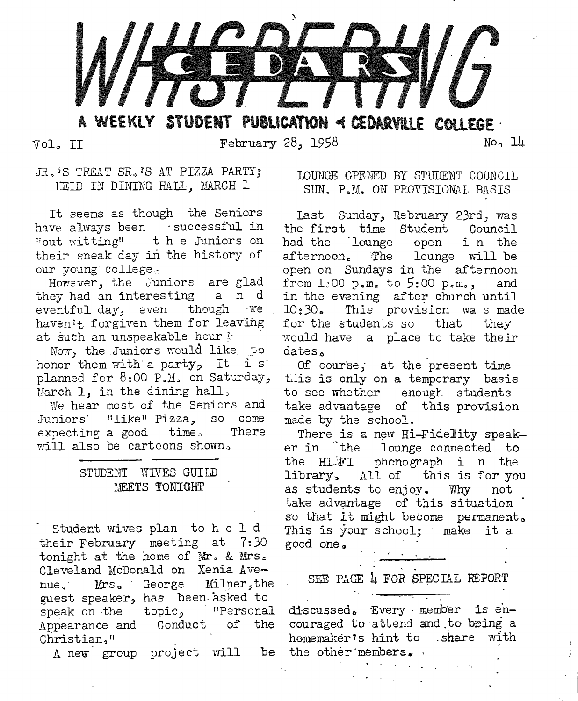

WEEKLY STUDENT PUBLICATION < CEDARVILLE COLLEGE .

Vol. II

February 28, 1958

No. 14

JR. 'S TREAT SR. 'S AT PIZZA PARTY; HEID IN DINING HALL, MARCH 1

It seems as though the Seniors have always been successful in "out witting" the Juniors on their sneak day in the history of our young college.

However, the Juniors are glad they had an interesting a n d eventful day, even though we haven't forgiven them for leaving at such an unspeakable hour j

Now, the Juniors would like to honor them with a party. It is planned for 8:00 P.M. on Saturday, March 1, in the dining hall,

We hear most of the Seniors and Juniors' "like" Pizza, so come expecting a good time. There will also be carteons shown,

## STUDENT WIVES GUILD MEETS TONIGHT

Student wives plan to h o l d their February meeting at 7:30 tonight at the home of Mr. & Mrs. Cleveland McDonald on Xenia Avenue.  $Mrs_a$ George Milner, the guest speaker, has been asked to speak on the topic, ' "Personal Appearance and Conduct of the Christian."

A new group project will

LOUNGE OPENED BY STUDENT COUNCTI. SUN. P.M. ON PROVISIONAL BASIS

Last Sunday, Rebruary 23rd, was the first time Student Council had the lounge open in the afternoon. The lounge will be open on Sundays in the afternoon from  $1.00$  p.m. to  $5:00$  p.m., and in the evening after church until 10:30. This provision was made for the students so that they would have a place to take their dates.

Of course, at the present time this is only on a temporary basis to see whether enough students take advantage of this provision made by the school.

There is a new Hi-Fidelity speaker in the lounge connected to the HLFI phonograph i n the library, All of this is for you as students to enjoy, Why not take advantage of this situation so that it might become permanent. This is your school: make it a good one.

SEE PAGE 4 FOR SPECIAL REPORT

ti<br>1980 - Componentation

discussed. Every member is encouraged to attend and to bring a homemaker's hint to share with be the other members.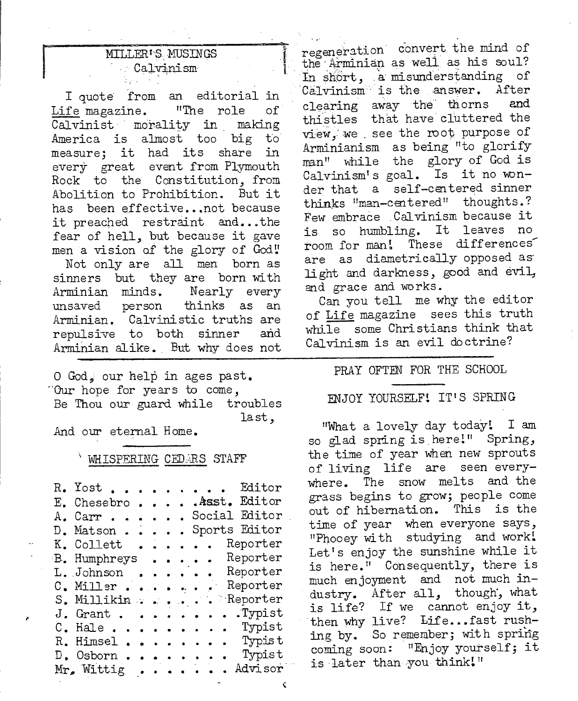## MILLER<sup>\$</sup>S MUSINGS Calvinism

I quote from an editorial in Life magazine. "The role οf Calvinist morality in making America is almost too big  $t_{0}$ measure: it had its share in every great event from Plymouth Rock to the Constitution, from Abolition to Prohibition. But it has been effective... not because it preached restraint and...the fear of hell, but because it gave men a vision of the glory of God! Not only are all men born as sinners but they are born with Arminian minds. Nearly every unsaved person thinks as an Arminian. Calvinistic truths are repulsive to both sinner and Arminian alike. But why does not

O God, our help in ages past. "Our hope for years to come, Be Thou our guard while troubles last.

And our eternal Home.

#### WHISPERING CEDARS STAFF

| R. Yost<br>. . Editor                                            |
|------------------------------------------------------------------|
| .Asst. Editor<br>E. Chesebro                                     |
| Social Editor<br>Carr<br>Α.                                      |
| Sports Editor<br>Matson<br>D.                                    |
| Reporter<br>K. Collett                                           |
| Reporter<br>B. Humphreys                                         |
| Reporter<br>L. Johnson .                                         |
| Reporter<br>Miller<br>С.<br><b>Call</b><br>$\bullet$ . $\bullet$ |
| Reporter<br>S. Millikin                                          |
| . Typist<br>$J.$ Grant                                           |
| . Typist<br>$H$ ale<br>С.                                        |
| Typis t<br>Himsel<br>$\sim$ $\sim$<br>R.,                        |
| . Typist<br>D. Osborn .                                          |
| Advisor<br>Mr. Wittig                                            |

regeneration convert the mind of the Arminian as well as his soul? In short, a misunderstanding of Calvinism is the answer. After clearing away the thorns and thistles that have cluttered the view, we see the root purpose of Arminianism as being "to glorify man" while the glory of God is Calvinism's goal. Is it no wonder that a self-centered sinner thinks "man-centered" thoughts.? Few embrace Calvinism because it is so humbling. It leaves no room for man! These differences are as diametrically opposed as light and darkness, good and evil, and grace and works.

Can you tell me why the editor of Life magazine sees this truth while some Christians think that Calvinism is an evil doctrine?

#### PRAY OFTEN FOR THE SCHOOL

## ENJOY YOURSELF! IT'S SPRING

"What a lovely day today! I am so glad spring is here!" Spring, the time of year when new sprouts of living life are seen everywhere. The snow melts and the grass begins to grow; people come out of hibernation. This is the time of year when everyone says, "Phooey with studying and work! Let's enjoy the sunshine while it is here." Consequently, there is much enjoyment and not much industry. After all, though, what is life? If we cannot enjoy it, then why live? Life...fast rushing by. So remember; with spring coming soon: "Enjoy yourself; it is later than you think!"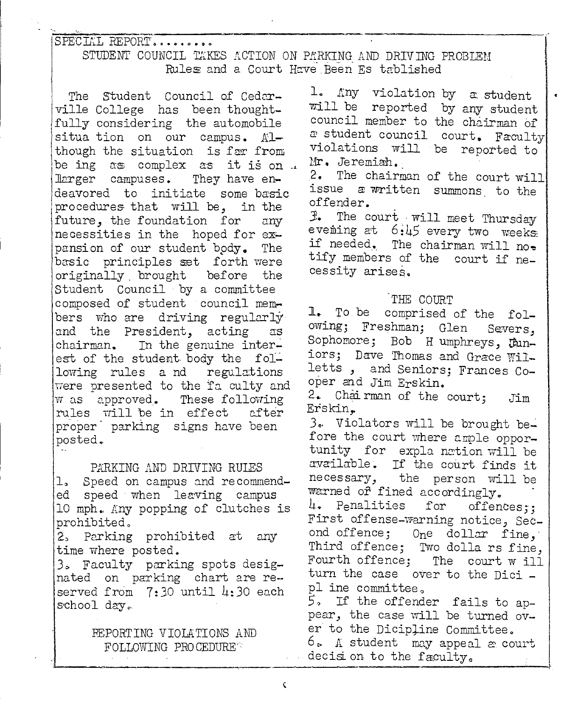SPECIAL REPORT........

## STUDENT COUNCIL TAKES ACTION ON PARKING AND DRIVING PROBLEM Rules and a Court Have Been Es tablished

The Student Council of Cedarville College has been thoughtfully considering the automobile situa tion on our campus. Although the situation is far from be ing as complex as it is on .. larger campuses. They have endeavored to initiate some basic procedures that will be, in the future, the foundation for anv necessities in the hoped for expansion of our student body. The basic principles set forth were originally brought before the Student Council by a committee composed of student council members who are driving regularly and the President, acting **as** chairman. In the genuine interest of the student body the following rules and regulations were presented to the fa culty and w as approved. These following rules will be in effect after proper parking signs have been posted.

PARKING AND DRIVING RUIES 1. Speed on campus and recommended speed when leaving campus 10 mph. Any popping of clutches is prohibited. 2. Parking prohibited at any

time where posted.

3. Faculty parking spots designated on parking chart are reserved from  $7:30$  until  $4:30$  each school day.

## REPORTING VIOLATIONS AND FOLLOWING PROCEDURE

1. Any violation by a student will be reported by any student council member to the chairman of a student council court. Faculty violations will be reported to Mr. Jeremiah.

2. The chairman of the court will issue a written summons to the offender.

3. The court will meet Thursday evening at 6:45 every two weeks if needed. The chairman will no. tify members of the court if necessity arises.

#### THE COURT

comprised of the foll. To be owing; Freshman; Glen Severs, Sophomore; Bob H umphreys, Funiors; Dave Thomas and Grace Willetts, and Seniors; Frances Cooper and Jim Erskin. 2. Chairman of the court; .Tim Erskin. 3. Violators will be brought before the court where ample opportunity for expla nation will be available. If the court finds it necessary, the person will be warned of fined accordingly. 4. Penalities for offences:: First offense-warning notice, Second offence; One dollar fine. Third offence; Two dollars fine, Fourth offence; The court w ill turn the case over to the Dici pl ine committee. 5. If the offender fails to appear, the case will be turned over to the Dicipline Committee. 6. A student may appeal a court decision to the faculty.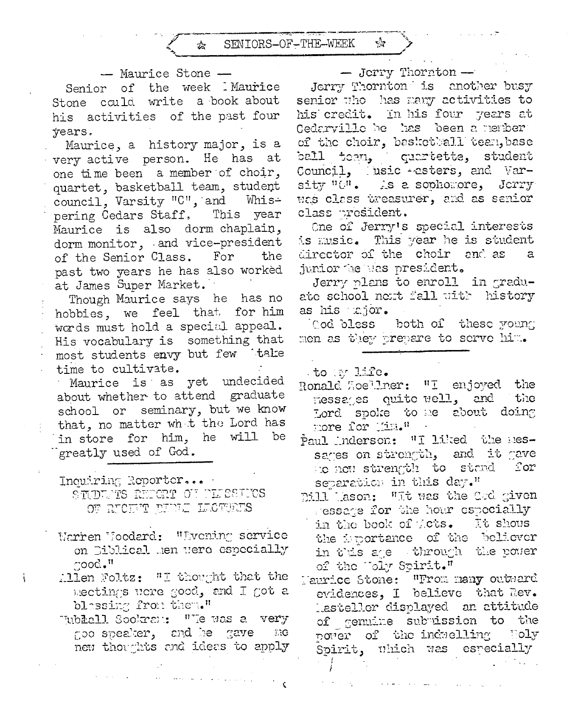

#### - Maurice Stone -

Senior of the week Maurice Stone could write a book about his activities of the past four years.

Maurice, a history major, is a very active person. He has at one time been a member of choir, quartet, basketball team, student council, Varsity "C", and Whispering Cedars Staff, This year Maurice is also dorm chaplain, dorm monitor, and vice-president of the Senior Class. For the past two years he has also worked at James Super Market.

Though Maurice says he has no hobbies, we feel that for him words must hold a special appeal. His vocabulary is something that most students envy but few take time to cultivate.

Maurice is as yet undecided about whether to attend graduate school or seminary, but we know that, no matter wh t the Lord has in store for him, he will be greatly used of God.

Inquiring Reporter... STUDENTS REPORT OF PERSON'S OF RUCKET TULE LUCTURES

- Warren Woodard: "Evening service on Diblical hen were especially  $\text{mod}$ ."
- Allen Foltz: "I thought that the mectings were good, and I got a blessing from them."
- "ublall Sookraw: "Te was a very goo speaker, and he gave me new thoughts and ideas to apply

#### - Jerry Thornton -

ŵ

Jerry Thornton is another busy senior who has many activities to his credit. In his four years at Gedarville be has been a nember of the choir, basketball tean, base ball team, quertette, student Council, usic esters, and Varsity "0". As a sophomore, Jerry was class treasurer, and as senior class president.

One of Jerry's special interests is music. This year he is student director of the choir and as junior the was president.

Jerry plans to enroll in graduate school next fall with history as his ajor.

Cod bless both of these young men as they prepare to serve him.

to my life.

Ronald Loellner: "I enjoyed the messages quite well, and the Lord spoke to me about doing more for Tim."

Paul Inderson: "I liked the nessages on strength, and it gave to now strength to stand for separation in this day."

Dill Lason: "It was the Cod given ressage for the hour ospecially in the book of Acts. It shous the importance of the believer in this age through the power of the Toly Spirit."

Taurice Stone: "From many outward evidences, I believe that Rev. lasteller displayed an attitude of genuine subuission to the power of the induclling Holy Spirit, uhich was especially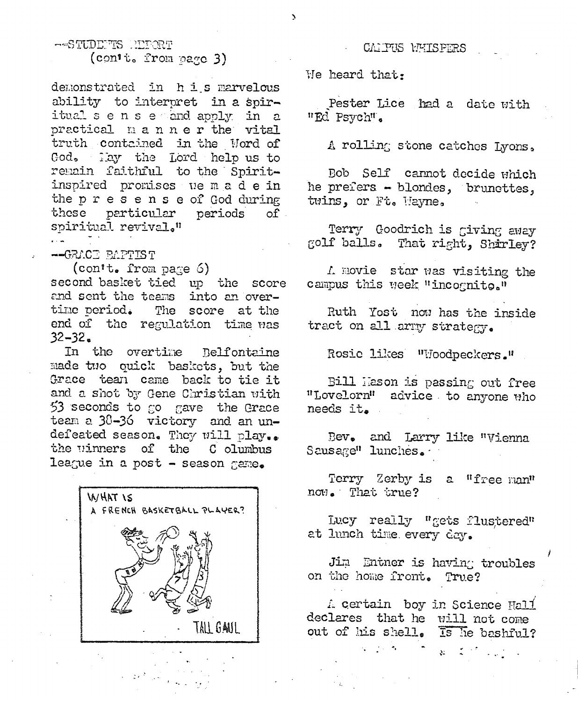-STUDEFTS REPORT (con't. from page 3)

demonstrated in his marvelous ability to interpret in a spiritualsense and apply in a practical manner the vital truth contained in the Word of God. May the Lord help us to remain faithful to the Spiritinspired promises we made in the presense of God during these particular periods  $of$ . spiritual revival."

-GRACE BAPTIST

 $\text{(cont. from page 6)}$ second basket tied up the score and sent the teams into an overtime period. The score at the end of the regulation time was  $32 - 32$ 

In the overtime Relfontaine made two quick baskets, but the Grace tean came back to tie it and a shot by Gene Christian with 53 seconds to go gave the Grace team a 38-36 victory and an undefeated season. They will play.. the vinners of the Columbus league in a post - season game.



#### CAIPUS WHISPERS

We heard that.

Pester Lice had a date with "Ed Psych".

A rolling stone catches Lyons.

Bob Self cannot decide which he prefers - blondes, bruncttes, twins, or Ft. Hayne.

Terry Goodrich is giving away golf balls. That right, Shirley?

A movie star was visiting the campus this week "incognito."

Ruth Yost now has the inside tract on all army strategy.

Rosic likes "Woodpeckers."

Bill Hason is passing out free "Lovelorn" advice to anyone who needs it.

Bev. and Larry like "Vienna Sausage" lunches.

Terry Zerby is a "free man" now. That true?

Lucy really "gets flustered" at lunch time every day.

Jim Entner is having troubles on the home front. True?

A certain boy in Science Hall declares that he will not come out of his shell. Is he bashful?

ులు పార్